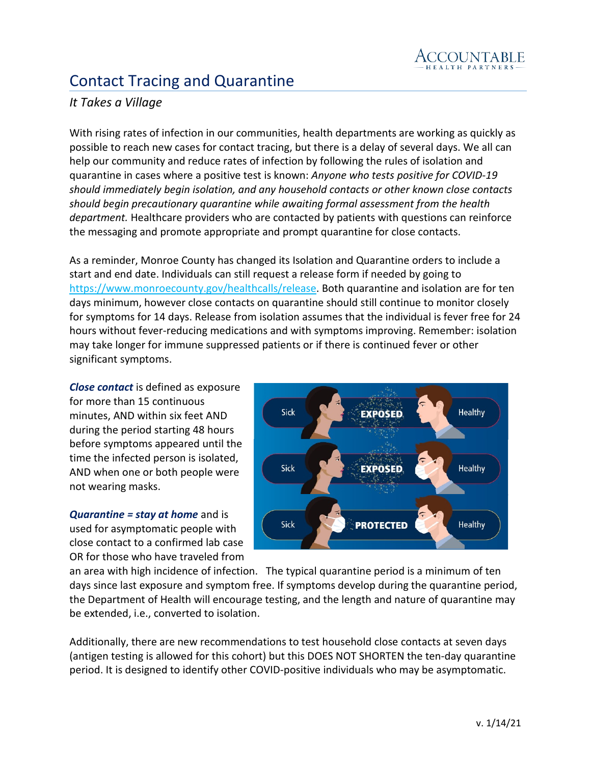

## Contact Tracing and Quarantine

## *It Takes a Village*

With rising rates of infection in our communities, health departments are working as quickly as possible to reach new cases for contact tracing, but there is a delay of several days. We all can help our community and reduce rates of infection by following the rules of isolation and quarantine in cases where a positive test is known: *Anyone who tests positive for COVID-19 should immediately begin isolation, and any household contacts or other known close contacts should begin precautionary quarantine while awaiting formal assessment from the health department.* Healthcare providers who are contacted by patients with questions can reinforce the messaging and promote appropriate and prompt quarantine for close contacts.

As a reminder, Monroe County has changed its Isolation and Quarantine orders to include a start and end date. Individuals can still request a release form if needed by going to [https://www.monroecounty.gov/healthcalls/release.](https://urldefense.proofpoint.com/v2/url?u=https-3A__www.monroecounty.gov_healthcalls_release&d=DwMFAg&c=4sF48jRmVAe_CH-k9mXYXEGfSnM3bY53YSKuLUQRxhA&r=eMSfMO_6b456DZHtoP5YNzsRrbhNyIoM7KlM3sVYcZ4&m=KJ1BYGJ-bqBlB3fHrN7IR0mpdqEkD73MmQATJGhXjDQ&s=_puY7wdbuZKMHB-73a3eIgLHEx4gpAXFXLpGp66Oacs&e=) Both quarantine and isolation are for ten days minimum, however close contacts on quarantine should still continue to monitor closely for symptoms for 14 days. Release from isolation assumes that the individual is fever free for 24 hours without fever-reducing medications and with symptoms improving. Remember: isolation may take longer for immune suppressed patients or if there is continued fever or other significant symptoms.

*Close contact* is defined as exposure for more than 15 continuous minutes, AND within six feet AND during the period starting 48 hours before symptoms appeared until the time the infected person is isolated, AND when one or both people were not wearing masks.

*Quarantine = stay at home* and is used for asymptomatic people with close contact to a confirmed lab case OR for those who have traveled from



an area with high incidence of infection. The typical quarantine period is a minimum of ten days since last exposure and symptom free. If symptoms develop during the quarantine period, the Department of Health will encourage testing, and the length and nature of quarantine may be extended, i.e., converted to isolation.

Additionally, there are new recommendations to test household close contacts at seven days (antigen testing is allowed for this cohort) but this DOES NOT SHORTEN the ten-day quarantine period. It is designed to identify other COVID-positive individuals who may be asymptomatic.